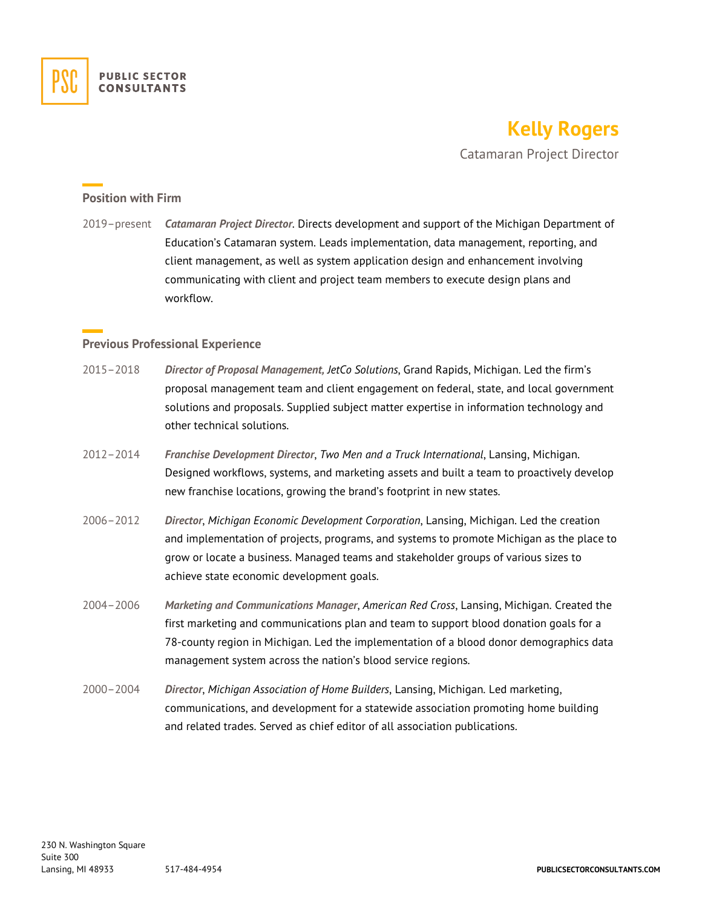

# **Kelly Rogers**

Catamaran Project Director

#### **Position with Firm**

2019–present *Catamaran Project Director*. Directs development and support of the Michigan Department of Education's Catamaran system. Leads implementation, data management, reporting, and client management, as well as system application design and enhancement involving communicating with client and project team members to execute design plans and workflow.

#### **Previous Professional Experience**

- 2015–2018 *Director of Proposal Management, JetCo Solutions*, Grand Rapids, Michigan. Led the firm's proposal management team and client engagement on federal, state, and local government solutions and proposals. Supplied subject matter expertise in information technology and other technical solutions.
- 2012–2014 *Franchise Development Director*, *Two Men and a Truck International*, Lansing, Michigan. Designed workflows, systems, and marketing assets and built a team to proactively develop new franchise locations, growing the brand's footprint in new states.
- 2006–2012 *Director*, *Michigan Economic Development Corporation*, Lansing, Michigan. Led the creation and implementation of projects, programs, and systems to promote Michigan as the place to grow or locate a business. Managed teams and stakeholder groups of various sizes to achieve state economic development goals.
- 2004–2006 *Marketing and Communications Manager*, *American Red Cross*, Lansing, Michigan. Created the first marketing and communications plan and team to support blood donation goals for a 78-county region in Michigan. Led the implementation of a blood donor demographics data management system across the nation's blood service regions.
- 2000–2004 *Director*, *Michigan Association of Home Builders*, Lansing, Michigan. Led marketing, communications, and development for a statewide association promoting home building and related trades. Served as chief editor of all association publications.